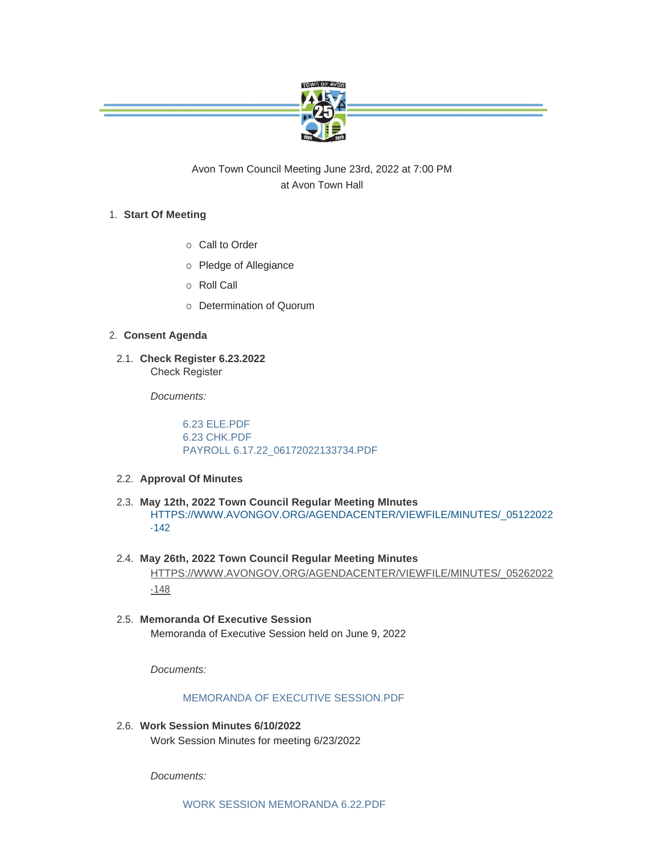

Avon Town Council Meeting June 23rd, 2022 at 7:00 PM at Avon Town Hall

# **Start Of Meeting** 1.

- o Call to Order
- o Pledge of Allegiance
- o Roll Call
- ¡ Determination of Quorum

# **Consent Agenda** 2.

**Check Register 6.23.2022** 2.1. Check Register

*Documents:*

[6.23 ELE.PDF](https://www.avongov.org/AgendaCenter/ViewFile/Item/706?fileID=496) [6.23 CHK.PDF](https://www.avongov.org/AgendaCenter/ViewFile/Item/706?fileID=497) [PAYROLL 6.17.22\\_06172022133734.PDF](https://www.avongov.org/AgendaCenter/ViewFile/Item/706?fileID=498)

# **Approval Of Minutes** 2.2.

- **May 12th, 2022 Town Council Regular Meeting MInutes** 2.3. [HTTPS://WWW.AVONGOV.ORG/AGENDACENTER/VIEWFILE/MINUTES/\\_05122022](https://www.avongov.org/AgendaCenter/ViewFile/Minutes/_05122022-142) -142
- **May 26th, 2022 Town Council Regular Meeting Minutes** 2.4. [HTTPS://WWW.AVONGOV.ORG/AGENDACENTER/VIEWFILE/MINUTES/\\_05262022](https://www.avongov.org/AgendaCenter/ViewFile/Minutes/_05262022-148) -148
- **Memoranda Of Executive Session**  2.5. Memoranda of Executive Session held on June 9, 2022

*Documents:*

# [MEMORANDA OF EXECUTIVE SESSION.PDF](https://www.avongov.org/AgendaCenter/ViewFile/Item/664?fileID=459)

**Work Session Minutes 6/10/2022** 2.6. Work Session Minutes for meeting 6/23/2022

*Documents:*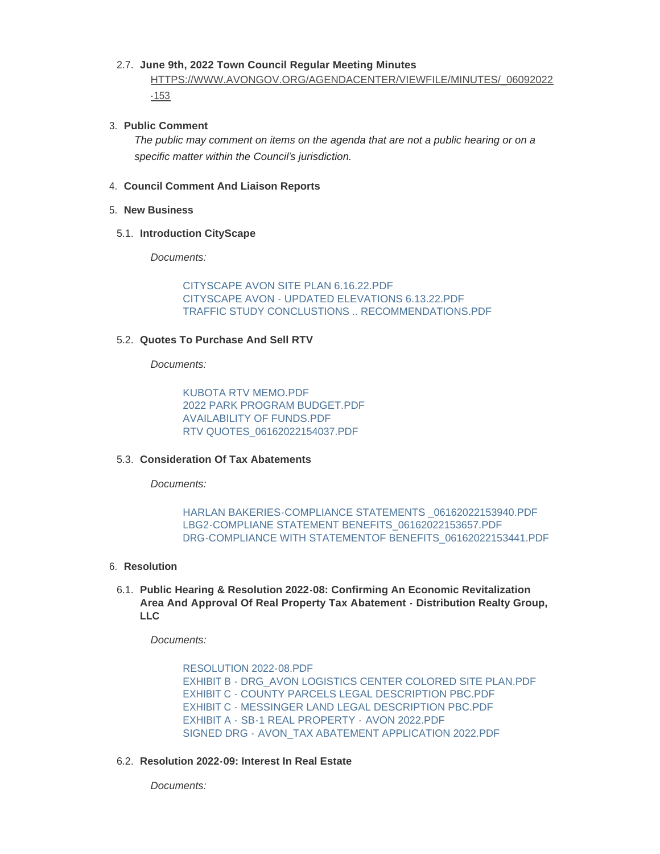# **June 9th, 2022 Town Council Regular Meeting Minutes** 2.7.

[HTTPS://WWW.AVONGOV.ORG/AGENDACENTER/VIEWFILE/MINUTES/\\_06092022](https://www.avongov.org/AgendaCenter/ViewFile/Minutes/_06092022-153) -153

# **Public Comment** 3.

*The public may comment on items on the agenda that are not a public hearing or on a specific matter within the Council's jurisdiction.*

#### **Council Comment And Liaison Reports** 4.

### **New Business** 5.

#### **Introduction CityScape** 5.1.

*Documents:*

[CITYSCAPE AVON SITE PLAN 6.16.22.PDF](https://www.avongov.org/AgendaCenter/ViewFile/Item/690?fileID=474) [CITYSCAPE AVON - UPDATED ELEVATIONS 6.13.22.PDF](https://www.avongov.org/AgendaCenter/ViewFile/Item/690?fileID=475) [TRAFFIC STUDY CONCLUSTIONS .. RECOMMENDATIONS.PDF](https://www.avongov.org/AgendaCenter/ViewFile/Item/690?fileID=477)

## **Quotes To Purchase And Sell RTV** 5.2.

*Documents:*

[KUBOTA RTV MEMO.PDF](https://www.avongov.org/AgendaCenter/ViewFile/Item/691?fileID=478) [2022 PARK PROGRAM BUDGET.PDF](https://www.avongov.org/AgendaCenter/ViewFile/Item/691?fileID=479) [AVAILABILITY OF FUNDS.PDF](https://www.avongov.org/AgendaCenter/ViewFile/Item/691?fileID=480) [RTV QUOTES\\_06162022154037.PDF](https://www.avongov.org/AgendaCenter/ViewFile/Item/691?fileID=481)

## **Consideration Of Tax Abatements** 5.3.

*Documents:*

# [HARLAN BAKERIES-COMPLIANCE STATEMENTS \\_06162022153940.PDF](https://www.avongov.org/AgendaCenter/ViewFile/Item/692?fileID=465) [LBG2-COMPLIANE STATEMENT BENEFITS\\_06162022153657.PDF](https://www.avongov.org/AgendaCenter/ViewFile/Item/692?fileID=466) [DRG-COMPLIANCE WITH STATEMENTOF BENEFITS\\_06162022153441.PDF](https://www.avongov.org/AgendaCenter/ViewFile/Item/692?fileID=467)

## **Resolution** 6.

**Public Hearing & Resolution 2022-08: Confirming An Economic Revitalization**  6.1. **Area And Approval Of Real Property Tax Abatement - Distribution Realty Group, LLC**

*Documents:*

[RESOLUTION 2022-08.PDF](https://www.avongov.org/AgendaCenter/ViewFile/Item/693?fileID=485) [EXHIBIT B - DRG\\_AVON LOGISTICS CENTER COLORED SITE PLAN.PDF](https://www.avongov.org/AgendaCenter/ViewFile/Item/693?fileID=486) [EXHIBIT C - COUNTY PARCELS LEGAL DESCRIPTION PBC.PDF](https://www.avongov.org/AgendaCenter/ViewFile/Item/693?fileID=487) [EXHIBIT C - MESSINGER LAND LEGAL DESCRIPTION PBC.PDF](https://www.avongov.org/AgendaCenter/ViewFile/Item/693?fileID=488) EXHIBIT A - [SB-1 REAL PROPERTY -](https://www.avongov.org/AgendaCenter/ViewFile/Item/693?fileID=489) AVON 2022.PDF SIGNED DRG - [AVON\\_TAX ABATEMENT APPLICATION 2022.PDF](https://www.avongov.org/AgendaCenter/ViewFile/Item/693?fileID=490)

## **Resolution 2022-09: Interest In Real Estate** 6.2.

*Documents:*